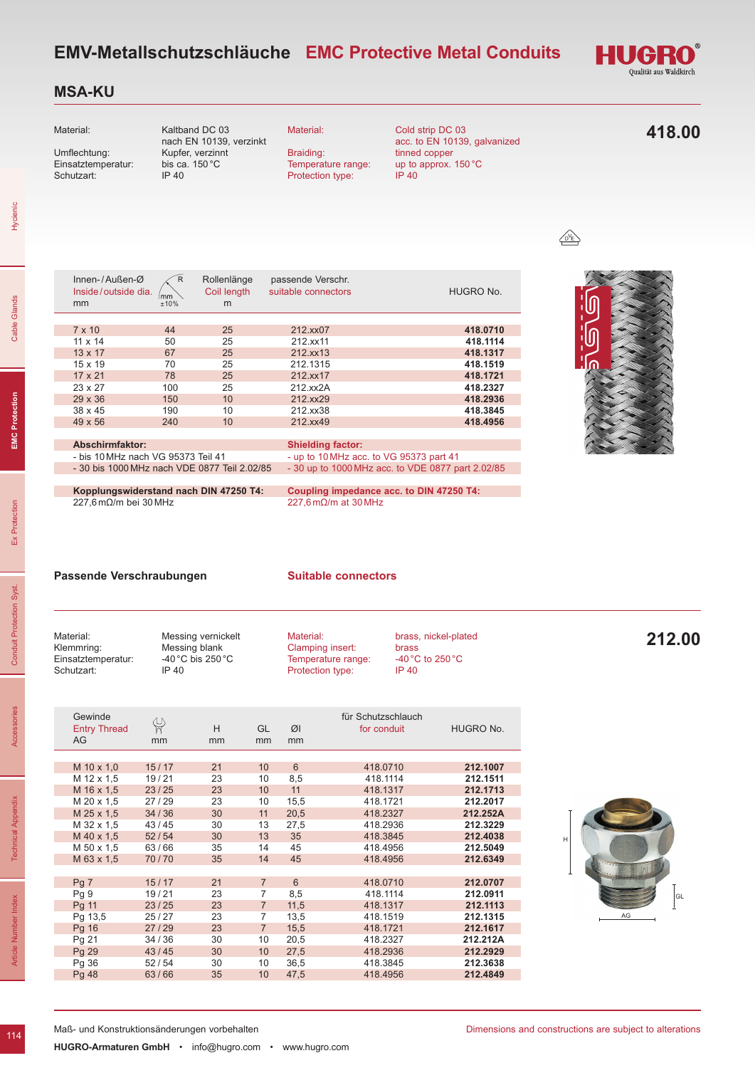

 $\mathcal{O}_E$ 

## **MSA-KU**

Schutzart:

nach EN 10139, verzinkt<br>Umflechtung: Kupfer, verzinnt Einsatztemperatur: bis ca.<br>Schutzart: IP 40

# Material: Kaltband DC 03 Kupfer, verzinnt<br>bis ca. 150 °C

Braiding: tinned copper<br>Temperature range: up to approx. Protection type:

Material: Cold strip DC 03 acc. to EN 10139, galvanized<br>Braiding: tinned copper up to approx.  $150^{\circ}$ C<br>IP 40

**418.00**

Hycienic

| Passende Verschraubungen                                                |       |                                                                           |     |               | <b>Suitable connectors</b>                                 |                                                        |                      |
|-------------------------------------------------------------------------|-------|---------------------------------------------------------------------------|-----|---------------|------------------------------------------------------------|--------------------------------------------------------|----------------------|
| Material <sup>.</sup><br>Klemmring:<br>Einsatztemperatur:<br>Schutzart: | IP 40 | Messing vernickelt<br>Messing blank<br>$-40\degree$ C bis 250 $\degree$ C |     | Material:     | Clamping insert:<br>Temperature range:<br>Protection type: | brass<br>-40 $^{\circ}$ C to 250 $^{\circ}$ C<br>IP 40 | brass, nickel-plated |
| Gewinde                                                                 |       |                                                                           |     |               | für Schutzschlauch                                         |                                                        |                      |
| <b>Entry Thread</b>                                                     | ₩     | H                                                                         | GI. | $\varnothing$ | for conduit                                                |                                                        | HUGRO No.            |
| AG                                                                      | mm    | mm                                                                        | mm  | mm            |                                                            |                                                        |                      |
| M 10 x 1,0                                                              | 15/17 | 21                                                                        | 10  | 6             | 418,0710                                                   |                                                        | 212.1007             |
| M 12 x 1.5                                                              | 19/21 | 23                                                                        | 10  | 8,5           | 418.1114                                                   |                                                        | 212.1511             |
| M 16 x 1,5                                                              | 23/25 | 23                                                                        | 10  | 11            | 418.1317                                                   |                                                        | 212.1713             |
| M 20 x 1.5                                                              | 27/29 | 23                                                                        | 10  | 15,5          | 418.1721                                                   |                                                        | 212.2017             |
| M 25 x 1,5                                                              | 34/36 | 30                                                                        | 11  | 20,5          | 418.2327                                                   |                                                        | 212.252A             |
| M 32 x 1,5                                                              | 43/45 | 30                                                                        | 13  | 27,5          | 418.2936                                                   |                                                        | 212.3229             |
| M 40 x 1,5                                                              | 52/54 | 30                                                                        | 13  | 35            | 418.3845                                                   |                                                        | 212.4038             |
| M 50 x 1.5                                                              | 63/66 | 35                                                                        | 14  | 45            | 418.4956                                                   |                                                        | 212.5049             |
| M 63 x 1.5                                                              | 70/70 | 35                                                                        | 14  | 45            | 418,4956                                                   |                                                        | 212.6349             |

Pg 7 15 / 17 21 7 6 418.0710 **212.0707** Pg 9 19 / 21 23 7 8,5 418.1114 **212.0911** Pg 11 23 / 25 23 7 11,5 418.1317 **212.1113** Pg 13,5 25 / 27 23 7 13,5 418.1519 **212.1315** Pg 16 27 / 29 23 7 15,5 418.1721 **212.1617** Pg 21 34 / 36 30 10 20,5 418.2327 **212.212A** Pg 29 43 / 45 30 10 27,5 418.2936 **212.2929** Pg 36 52 / 54 30 10 36,5 418.3845 **212.3638** Pg 48 63 / 66 35 10 47,5 418.4956 **212.4849**



| Innen-/Außen- $\varnothing$<br>Inside/outside dia.<br>mm | $\mathsf{R}$<br>mm<br>±10% | Rollenlänge<br>Coil length<br>m | passende Verschr.<br>suitable connectors | HUGRO No.                                         |
|----------------------------------------------------------|----------------------------|---------------------------------|------------------------------------------|---------------------------------------------------|
|                                                          |                            |                                 |                                          |                                                   |
| $7 \times 10$                                            | 44                         | 25                              | 212.xx07                                 | 418.0710                                          |
| $11 \times 14$                                           | 50                         | 25                              | 212.xx11                                 | 418.1114                                          |
| $13 \times 17$                                           | 67                         | 25                              | 212.xx13                                 | 418.1317                                          |
| $15 \times 19$                                           | 70                         | 25                              | 212.1315                                 | 418.1519                                          |
| $17 \times 21$                                           | 78                         | 25                              | 212.xx17                                 | 418.1721                                          |
| $23 \times 27$                                           | 100                        | 25                              | 212.xx2A                                 | 418.2327                                          |
| $29 \times 36$                                           | 150                        | 10                              | 212.xx29                                 | 418.2936                                          |
| $38 \times 45$                                           | 190                        | 10                              | 212.xx38                                 | 418.3845                                          |
| $49 \times 56$                                           | 240                        | 10                              | 212.xx49                                 | 418.4956                                          |
|                                                          |                            |                                 |                                          |                                                   |
| Abschirmfaktor:                                          |                            |                                 | <b>Shielding factor:</b>                 |                                                   |
| - bis 10 MHz nach VG 95373 Teil 41                       |                            |                                 | - up to 10 MHz acc. to VG 95373 part 41  |                                                   |
| - 30 bis 1000 MHz nach VDE 0877 Teil 2.02/85             |                            |                                 |                                          | - 30 up to 1000 MHz acc. to VDE 0877 part 2.02/85 |

**Kopplungswiderstand nach DIN 47250 T4:** 227,6 mΩ/m bei 30 MHz

| Material:          | Messing vernickelt | Material:               | brass, nickel-plated | 212.00 |
|--------------------|--------------------|-------------------------|----------------------|--------|
| Klemmring:         | Messing blank      | Clamping insert:        | brass                |        |
| Einsatztemperatur: | -40 °C bis 250 °C  | Temperature range:      | -40 °C to 250 °C     |        |
| Schutzart:         | IP 40              | <b>Protection type:</b> | IP 40                |        |

227,6 mΩ/m at 30 MHz

**Coupling impedance acc. to DIN 47250 T4:**